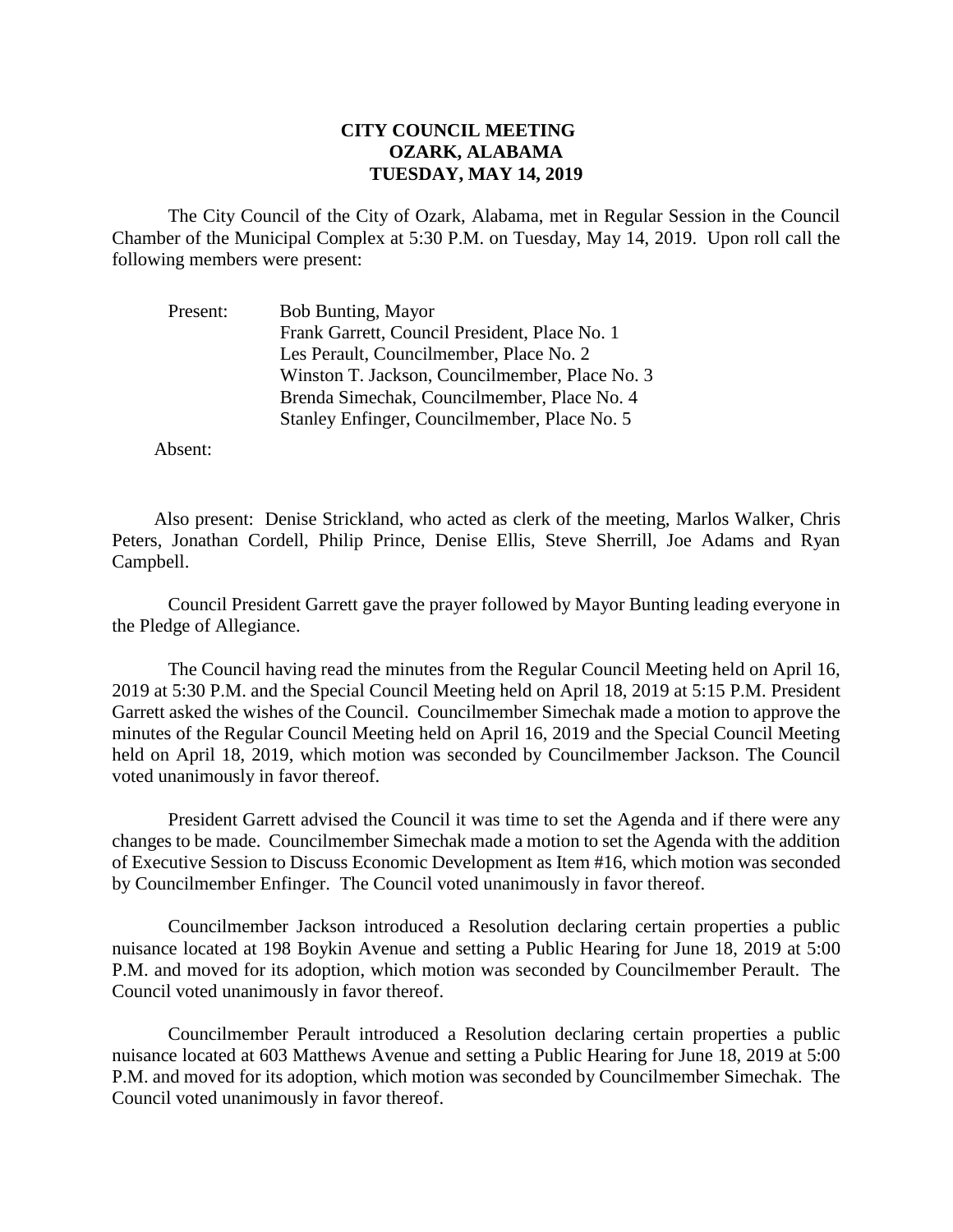## **CITY COUNCIL MEETING OZARK, ALABAMA TUESDAY, MAY 14, 2019**

The City Council of the City of Ozark, Alabama, met in Regular Session in the Council Chamber of the Municipal Complex at 5:30 P.M. on Tuesday, May 14, 2019. Upon roll call the following members were present:

| Present: | <b>Bob Bunting, Mayor</b>                      |
|----------|------------------------------------------------|
|          | Frank Garrett, Council President, Place No. 1  |
|          | Les Perault, Councilmember, Place No. 2        |
|          | Winston T. Jackson, Councilmember, Place No. 3 |
|          | Brenda Simechak, Councilmember, Place No. 4    |
|          | Stanley Enfinger, Councilmember, Place No. 5   |

Absent:

Also present: Denise Strickland, who acted as clerk of the meeting, Marlos Walker, Chris Peters, Jonathan Cordell, Philip Prince, Denise Ellis, Steve Sherrill, Joe Adams and Ryan Campbell.

Council President Garrett gave the prayer followed by Mayor Bunting leading everyone in the Pledge of Allegiance.

The Council having read the minutes from the Regular Council Meeting held on April 16, 2019 at 5:30 P.M. and the Special Council Meeting held on April 18, 2019 at 5:15 P.M. President Garrett asked the wishes of the Council. Councilmember Simechak made a motion to approve the minutes of the Regular Council Meeting held on April 16, 2019 and the Special Council Meeting held on April 18, 2019, which motion was seconded by Councilmember Jackson. The Council voted unanimously in favor thereof.

President Garrett advised the Council it was time to set the Agenda and if there were any changes to be made. Councilmember Simechak made a motion to set the Agenda with the addition of Executive Session to Discuss Economic Development as Item #16, which motion was seconded by Councilmember Enfinger. The Council voted unanimously in favor thereof.

Councilmember Jackson introduced a Resolution declaring certain properties a public nuisance located at 198 Boykin Avenue and setting a Public Hearing for June 18, 2019 at 5:00 P.M. and moved for its adoption, which motion was seconded by Councilmember Perault. The Council voted unanimously in favor thereof.

Councilmember Perault introduced a Resolution declaring certain properties a public nuisance located at 603 Matthews Avenue and setting a Public Hearing for June 18, 2019 at 5:00 P.M. and moved for its adoption, which motion was seconded by Councilmember Simechak. The Council voted unanimously in favor thereof.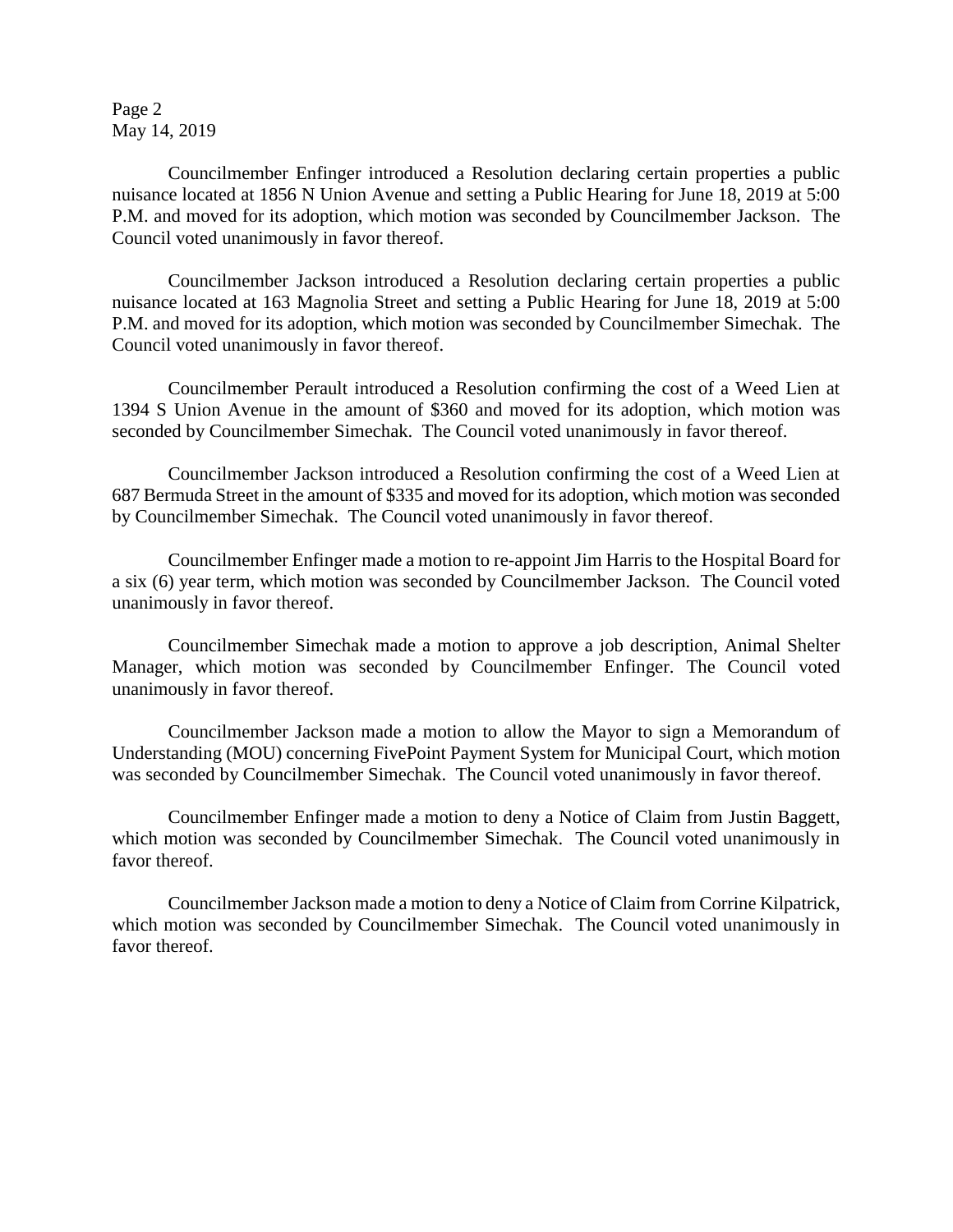Page 2 May 14, 2019

Councilmember Enfinger introduced a Resolution declaring certain properties a public nuisance located at 1856 N Union Avenue and setting a Public Hearing for June 18, 2019 at 5:00 P.M. and moved for its adoption, which motion was seconded by Councilmember Jackson. The Council voted unanimously in favor thereof.

Councilmember Jackson introduced a Resolution declaring certain properties a public nuisance located at 163 Magnolia Street and setting a Public Hearing for June 18, 2019 at 5:00 P.M. and moved for its adoption, which motion was seconded by Councilmember Simechak. The Council voted unanimously in favor thereof.

Councilmember Perault introduced a Resolution confirming the cost of a Weed Lien at 1394 S Union Avenue in the amount of \$360 and moved for its adoption, which motion was seconded by Councilmember Simechak. The Council voted unanimously in favor thereof.

Councilmember Jackson introduced a Resolution confirming the cost of a Weed Lien at 687 Bermuda Street in the amount of \$335 and moved for its adoption, which motion was seconded by Councilmember Simechak. The Council voted unanimously in favor thereof.

Councilmember Enfinger made a motion to re-appoint Jim Harris to the Hospital Board for a six (6) year term, which motion was seconded by Councilmember Jackson. The Council voted unanimously in favor thereof.

Councilmember Simechak made a motion to approve a job description, Animal Shelter Manager, which motion was seconded by Councilmember Enfinger. The Council voted unanimously in favor thereof.

Councilmember Jackson made a motion to allow the Mayor to sign a Memorandum of Understanding (MOU) concerning FivePoint Payment System for Municipal Court, which motion was seconded by Councilmember Simechak. The Council voted unanimously in favor thereof.

Councilmember Enfinger made a motion to deny a Notice of Claim from Justin Baggett, which motion was seconded by Councilmember Simechak. The Council voted unanimously in favor thereof.

Councilmember Jackson made a motion to deny a Notice of Claim from Corrine Kilpatrick, which motion was seconded by Councilmember Simechak. The Council voted unanimously in favor thereof.